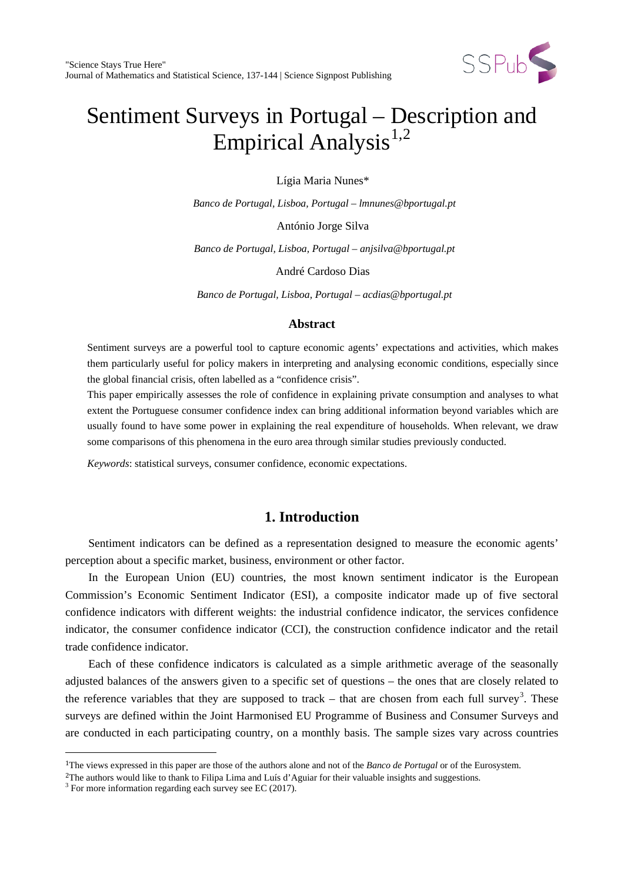

# Sentiment Surveys in Portugal – Description and Empirical Analysis<sup>[1](#page-0-0),[2](#page-0-1)</sup>

Lígia Maria Nunes\*

*Banco de Portugal, Lisboa, Portugal – lmnunes@bportugal.pt*

António Jorge Silva

*Banco de Portugal, Lisboa, Portugal – anjsilva@bportugal.pt*

André Cardoso Dias

*Banco de Portugal, Lisboa, Portugal – acdias@bportugal.pt*

## **Abstract**

Sentiment surveys are a powerful tool to capture economic agents' expectations and activities, which makes them particularly useful for policy makers in interpreting and analysing economic conditions, especially since the global financial crisis, often labelled as a "confidence crisis".

This paper empirically assesses the role of confidence in explaining private consumption and analyses to what extent the Portuguese consumer confidence index can bring additional information beyond variables which are usually found to have some power in explaining the real expenditure of households. When relevant, we draw some comparisons of this phenomena in the euro area through similar studies previously conducted.

*Keywords*: statistical surveys, consumer confidence, economic expectations.

# **1. Introduction**

Sentiment indicators can be defined as a representation designed to measure the economic agents' perception about a specific market, business, environment or other factor.

In the European Union (EU) countries, the most known sentiment indicator is the European Commission's Economic Sentiment Indicator (ESI), a composite indicator made up of five sectoral confidence indicators with different weights: the industrial confidence indicator, the services confidence indicator, the consumer confidence indicator (CCI), the construction confidence indicator and the retail trade confidence indicator.

Each of these confidence indicators is calculated as a simple arithmetic average of the seasonally adjusted balances of the answers given to a specific set of questions – the ones that are closely related to the reference variables that they are supposed to track  $-$  that are chosen from each full survey<sup>[3](#page-0-2)</sup>. These surveys are defined within the Joint Harmonised EU Programme of Business and Consumer Surveys and are conducted in each participating country, on a monthly basis. The sample sizes vary across countries

<sup>1</sup>The views expressed in this paper are those of the authors alone and not of the *Banco de Portugal* or of the Eurosystem. i<br>I

<span id="page-0-2"></span><span id="page-0-1"></span><span id="page-0-0"></span><sup>&</sup>lt;sup>2</sup>The authors would like to thank to Filipa Lima and Luís d'Aguiar for their valuable insights and suggestions. <sup>3</sup> For more information regarding each survey see EC (2017).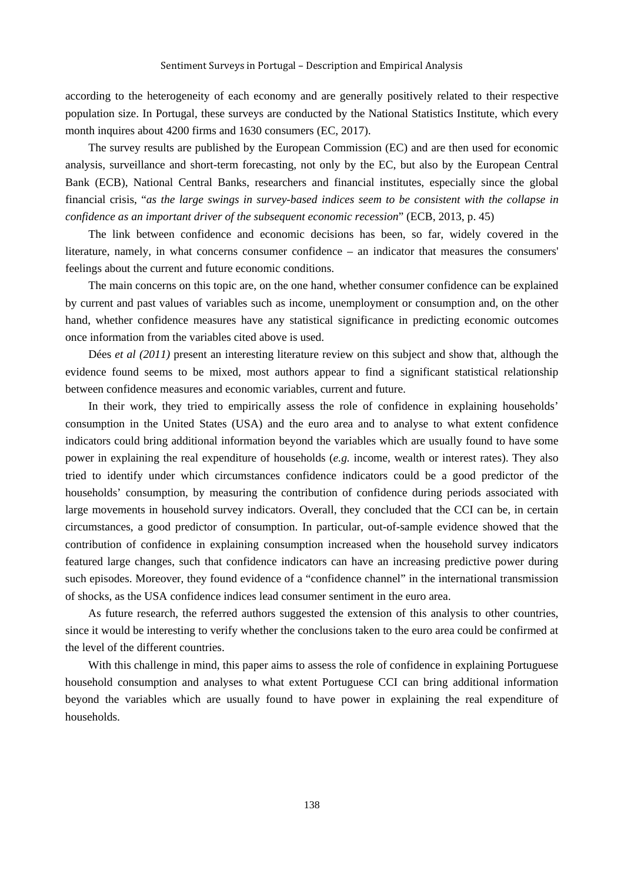according to the heterogeneity of each economy and are generally positively related to their respective population size. In Portugal, these surveys are conducted by the National Statistics Institute, which every month inquires about 4200 firms and 1630 consumers (EC, 2017).

The survey results are published by the European Commission (EC) and are then used for economic analysis, surveillance and short-term forecasting, not only by the EC, but also by the European Central Bank (ECB), National Central Banks, researchers and financial institutes, especially since the global financial crisis, "*as the large swings in survey-based indices seem to be consistent with the collapse in confidence as an important driver of the subsequent economic recession*" (ECB, 2013, p. 45)

The link between confidence and economic decisions has been, so far, widely covered in the literature, namely, in what concerns consumer confidence – an indicator that measures the consumers' feelings about the current and future economic conditions.

The main concerns on this topic are, on the one hand, whether consumer confidence can be explained by current and past values of variables such as income, unemployment or consumption and, on the other hand, whether confidence measures have any statistical significance in predicting economic outcomes once information from the variables cited above is used.

Dées *et al (2011)* present an interesting literature review on this subject and show that, although the evidence found seems to be mixed, most authors appear to find a significant statistical relationship between confidence measures and economic variables, current and future.

In their work, they tried to empirically assess the role of confidence in explaining households' consumption in the United States (USA) and the euro area and to analyse to what extent confidence indicators could bring additional information beyond the variables which are usually found to have some power in explaining the real expenditure of households (*e.g.* income, wealth or interest rates). They also tried to identify under which circumstances confidence indicators could be a good predictor of the households' consumption, by measuring the contribution of confidence during periods associated with large movements in household survey indicators. Overall, they concluded that the CCI can be, in certain circumstances, a good predictor of consumption. In particular, out-of-sample evidence showed that the contribution of confidence in explaining consumption increased when the household survey indicators featured large changes, such that confidence indicators can have an increasing predictive power during such episodes. Moreover, they found evidence of a "confidence channel" in the international transmission of shocks, as the USA confidence indices lead consumer sentiment in the euro area.

As future research, the referred authors suggested the extension of this analysis to other countries, since it would be interesting to verify whether the conclusions taken to the euro area could be confirmed at the level of the different countries.

With this challenge in mind, this paper aims to assess the role of confidence in explaining Portuguese household consumption and analyses to what extent Portuguese CCI can bring additional information beyond the variables which are usually found to have power in explaining the real expenditure of households.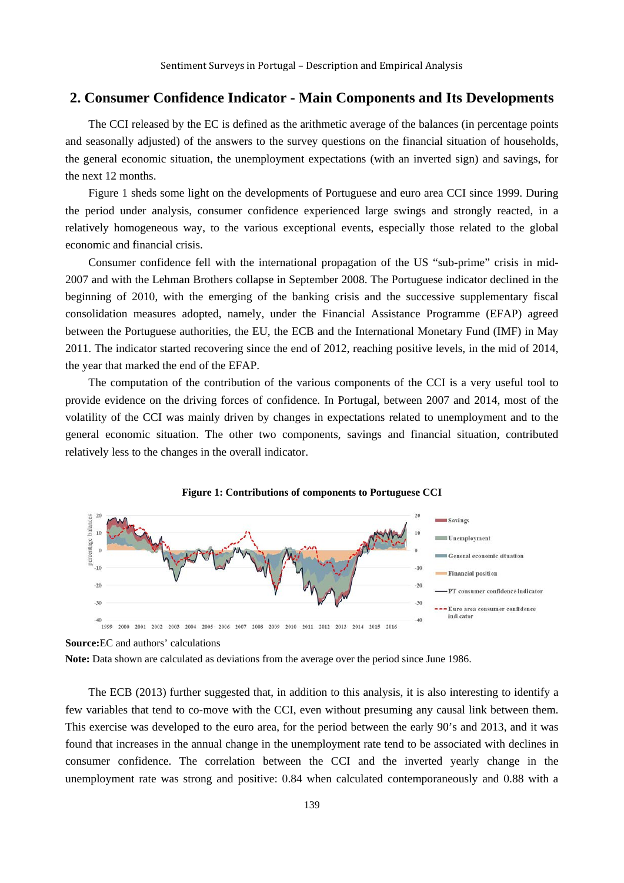## **2. Consumer Confidence Indicator - Main Components and Its Developments**

The CCI released by the EC is defined as the arithmetic average of the balances (in percentage points and seasonally adjusted) of the answers to the survey questions on the financial situation of households, the general economic situation, the unemployment expectations (with an inverted sign) and savings, for the next 12 months.

Figure 1 sheds some light on the developments of Portuguese and euro area CCI since 1999. During the period under analysis, consumer confidence experienced large swings and strongly reacted, in a relatively homogeneous way, to the various exceptional events, especially those related to the global economic and financial crisis.

Consumer confidence fell with the international propagation of the US "sub-prime" crisis in mid-2007 and with the Lehman Brothers collapse in September 2008. The Portuguese indicator declined in the beginning of 2010, with the emerging of the banking crisis and the successive supplementary fiscal consolidation measures adopted, namely, under the Financial Assistance Programme (EFAP) agreed between the Portuguese authorities, the EU, the ECB and the International Monetary Fund (IMF) in May 2011. The indicator started recovering since the end of 2012, reaching positive levels, in the mid of 2014, the year that marked the end of the EFAP.

The computation of the contribution of the various components of the CCI is a very useful tool to provide evidence on the driving forces of confidence. In Portugal, between 2007 and 2014, most of the volatility of the CCI was mainly driven by changes in expectations related to unemployment and to the general economic situation. The other two components, savings and financial situation, contributed relatively less to the changes in the overall indicator.





The ECB (2013) further suggested that, in addition to this analysis, it is also interesting to identify a few variables that tend to co-move with the CCI, even without presuming any causal link between them. This exercise was developed to the euro area, for the period between the early 90's and 2013, and it was found that increases in the annual change in the unemployment rate tend to be associated with declines in consumer confidence. The correlation between the CCI and the inverted yearly change in the unemployment rate was strong and positive: 0.84 when calculated contemporaneously and 0.88 with a

**Source:**EC and authors' calculations

**Note:** Data shown are calculated as deviations from the average over the period since June 1986.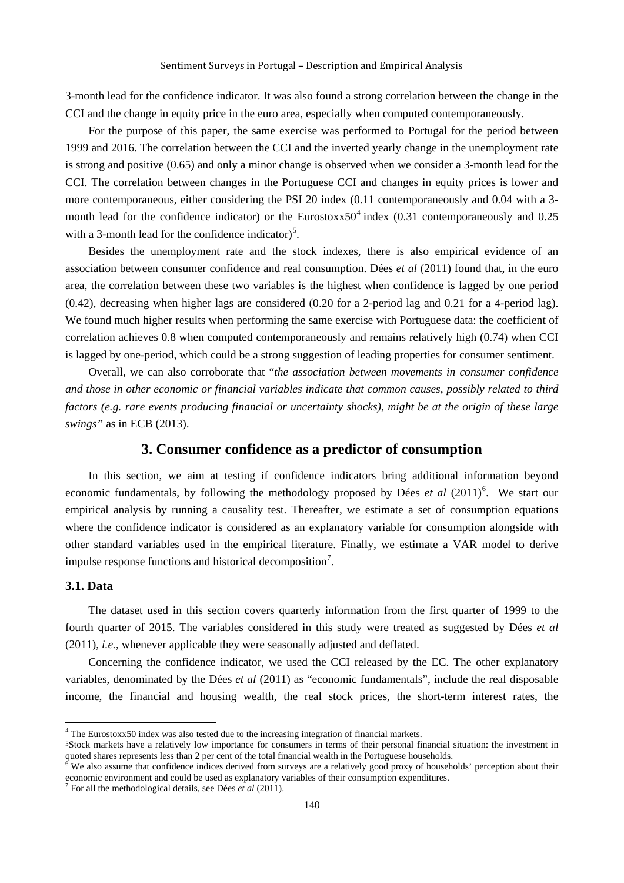3-month lead for the confidence indicator. It was also found a strong correlation between the change in the CCI and the change in equity price in the euro area, especially when computed contemporaneously.

For the purpose of this paper, the same exercise was performed to Portugal for the period between 1999 and 2016. The correlation between the CCI and the inverted yearly change in the unemployment rate is strong and positive (0.65) and only a minor change is observed when we consider a 3-month lead for the CCI. The correlation between changes in the Portuguese CCI and changes in equity prices is lower and more contemporaneous, either considering the PSI 20 index (0.11 contemporaneously and 0.04 with a 3- month lead for the confidence indicator) or the Eurostoxx50<sup>[4](#page-3-0)</sup> index (0.31 contemporaneously and 0.25 with a 3-month lead for the confidence indicator)<sup>[5](#page-3-0)</sup>.

Besides the unemployment rate and the stock indexes, there is also empirical evidence of an association between consumer confidence and real consumption. Dées *et al* (2011) found that, in the euro area, the correlation between these two variables is the highest when confidence is lagged by one period (0.42), decreasing when higher lags are considered (0.20 for a 2-period lag and 0.21 for a 4-period lag). We found much higher results when performing the same exercise with Portuguese data: the coefficient of correlation achieves 0.8 when computed contemporaneously and remains relatively high (0.74) when CCI is lagged by one-period, which could be a strong suggestion of leading properties for consumer sentiment.

Overall, we can also corroborate that "*the association between movements in consumer confidence and those in other economic or financial variables indicate that common causes, possibly related to third factors (e.g. rare events producing financial or uncertainty shocks), might be at the origin of these large swings"* as in ECB (2013).

## **3. Consumer confidence as a predictor of consumption**

In this section, we aim at testing if confidence indicators bring additional information beyond economic fundamentals, by following the methodology proposed by Dées *et al* (2011)<sup>[6](#page-3-0)</sup>. We start our empirical analysis by running a causality test. Thereafter, we estimate a set of consumption equations where the confidence indicator is considered as an explanatory variable for consumption alongside with other standard variables used in the empirical literature. Finally, we estimate a VAR model to derive impulse response functions and historical decomposition<sup>[7](#page-3-0)</sup>.

#### **3.1. Data**

The dataset used in this section covers quarterly information from the first quarter of 1999 to the fourth quarter of 2015. The variables considered in this study were treated as suggested by Dées *et al*  (2011), *i.e.*, whenever applicable they were seasonally adjusted and deflated.

Concerning the confidence indicator, we used the CCI released by the EC. The other explanatory variables, denominated by the Dées *et al* (2011) as "economic fundamentals", include the real disposable income, the financial and housing wealth, the real stock prices, the short-term interest rates, the

<sup>4</sup> The Eurostoxx50 index was also tested due to the increasing integration of financial markets.

<span id="page-3-0"></span><sup>5</sup>Stock markets have a relatively low importance for consumers in terms of their personal financial situation: the investment in quoted shares represents less than 2 per cent of the total financial wealth in the Portuguese households.<br><sup>6</sup> We also assume that confidence indices derived from surveys are a relatively good proxy of households' perceptio

economic environment and could be used as explanatory variables of their consumption expenditures.<br><sup>7</sup> For all the methodological details, see Dées *et al* (2011).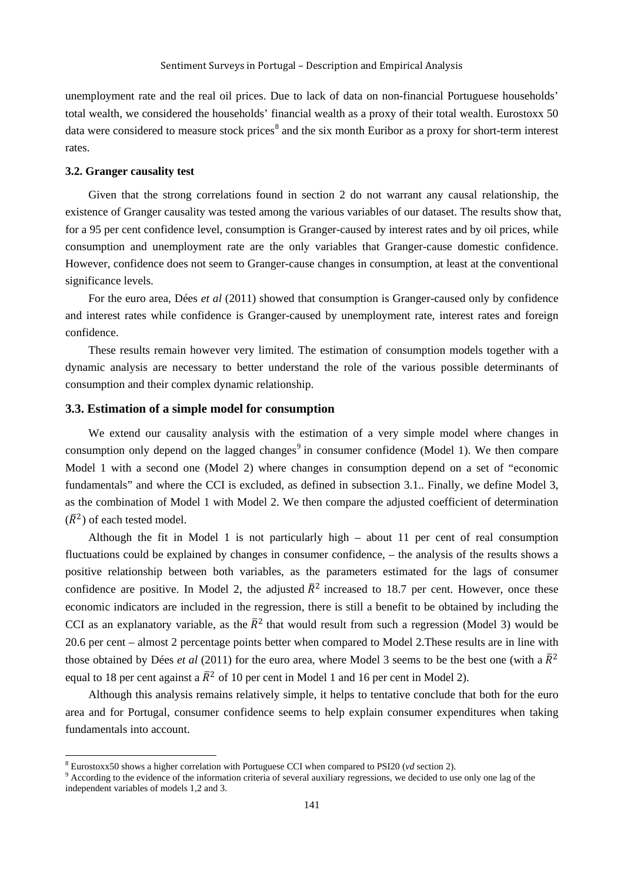unemployment rate and the real oil prices. Due to lack of data on non-financial Portuguese households' total wealth, we considered the households' financial wealth as a proxy of their total wealth. Eurostoxx 50 data were considered to measure stock prices<sup>[8](#page-4-0)</sup> and the six month Euribor as a proxy for short-term interest rates.

#### **3.2. Granger causality test**

Given that the strong correlations found in section 2 do not warrant any causal relationship, the existence of Granger causality was tested among the various variables of our dataset. The results show that, for a 95 per cent confidence level, consumption is Granger-caused by interest rates and by oil prices, while consumption and unemployment rate are the only variables that Granger-cause domestic confidence. However, confidence does not seem to Granger-cause changes in consumption, at least at the conventional significance levels.

For the euro area, Dées *et al* (2011) showed that consumption is Granger-caused only by confidence and interest rates while confidence is Granger-caused by unemployment rate, interest rates and foreign confidence.

These results remain however very limited. The estimation of consumption models together with a dynamic analysis are necessary to better understand the role of the various possible determinants of consumption and their complex dynamic relationship.

## **3.3. Estimation of a simple model for consumption**

We extend our causality analysis with the estimation of a very simple model where changes in consumption only depend on the lagged changes<sup>[9](#page-4-0)</sup> in consumer confidence (Model 1). We then compare Model 1 with a second one (Model 2) where changes in consumption depend on a set of "economic fundamentals" and where the CCI is excluded, as defined in subsection 3.1.. Finally, we define Model 3, as the combination of Model 1 with Model 2. We then compare the adjusted coefficient of determination  $(\overline{R}^2)$  of each tested model.

Although the fit in Model 1 is not particularly high – about 11 per cent of real consumption fluctuations could be explained by changes in consumer confidence, – the analysis of the results shows a positive relationship between both variables, as the parameters estimated for the lags of consumer confidence are positive. In Model 2, the adjusted  $\bar{R}^2$  increased to 18.7 per cent. However, once these economic indicators are included in the regression, there is still a benefit to be obtained by including the CCI as an explanatory variable, as the  $\bar{R}^2$  that would result from such a regression (Model 3) would be 20.6 per cent – almost 2 percentage points better when compared to Model 2.These results are in line with those obtained by Dées *et al* (2011) for the euro area, where Model 3 seems to be the best one (with a  $\bar{R}^2$ equal to 18 per cent against a  $\bar{R}^2$  of 10 per cent in Model 1 and 16 per cent in Model 2).

Although this analysis remains relatively simple, it helps to tentative conclude that both for the euro area and for Portugal, consumer confidence seems to help explain consumer expenditures when taking fundamentals into account.

<span id="page-4-0"></span> $8$  Eurostoxx50 shows a higher correlation with Portuguese CCI when compared to PSI20 ( $vd$  section 2).

<sup>&</sup>lt;sup>9</sup> According to the evidence of the information criteria of several auxiliary regressions, we decided to use only one lag of the independent variables of models 1,2 and 3.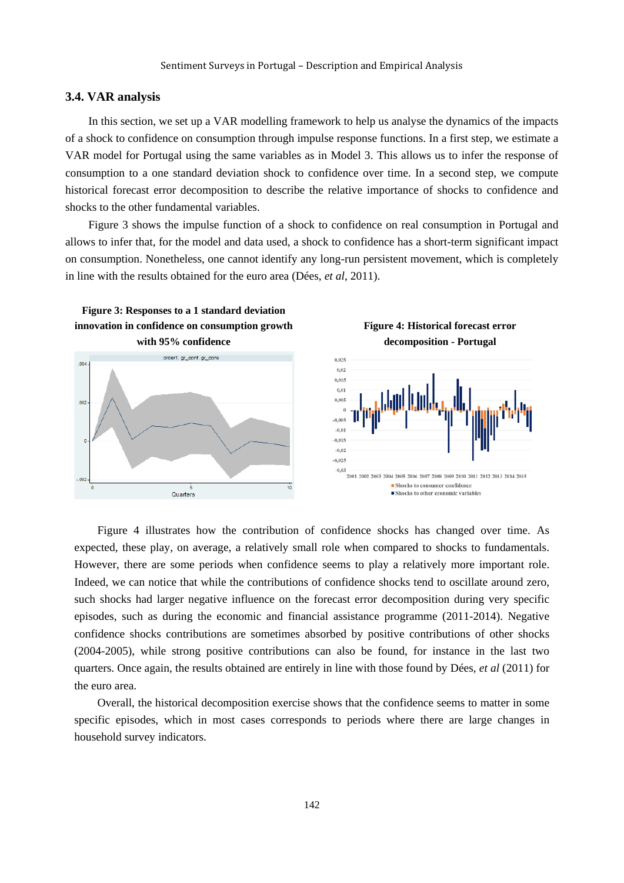#### **3.4. VAR analysis**

In this section, we set up a VAR modelling framework to help us analyse the dynamics of the impacts of a shock to confidence on consumption through impulse response functions. In a first step, we estimate a VAR model for Portugal using the same variables as in Model 3. This allows us to infer the response of consumption to a one standard deviation shock to confidence over time. In a second step, we compute historical forecast error decomposition to describe the relative importance of shocks to confidence and shocks to the other fundamental variables.

Figure 3 shows the impulse function of a shock to confidence on real consumption in Portugal and allows to infer that, for the model and data used, a shock to confidence has a short-term significant impact on consumption. Nonetheless, one cannot identify any long-run persistent movement, which is completely in line with the results obtained for the euro area (Dées, *et al*, 2011).



Figure 4 illustrates how the contribution of confidence shocks has changed over time. As expected, these play, on average, a relatively small role when compared to shocks to fundamentals. However, there are some periods when confidence seems to play a relatively more important role. Indeed, we can notice that while the contributions of confidence shocks tend to oscillate around zero, such shocks had larger negative influence on the forecast error decomposition during very specific episodes, such as during the economic and financial assistance programme (2011-2014). Negative confidence shocks contributions are sometimes absorbed by positive contributions of other shocks (2004-2005), while strong positive contributions can also be found, for instance in the last two quarters. Once again, the results obtained are entirely in line with those found by Dées, *et al* (2011) for the euro area.

Overall, the historical decomposition exercise shows that the confidence seems to matter in some specific episodes, which in most cases corresponds to periods where there are large changes in household survey indicators.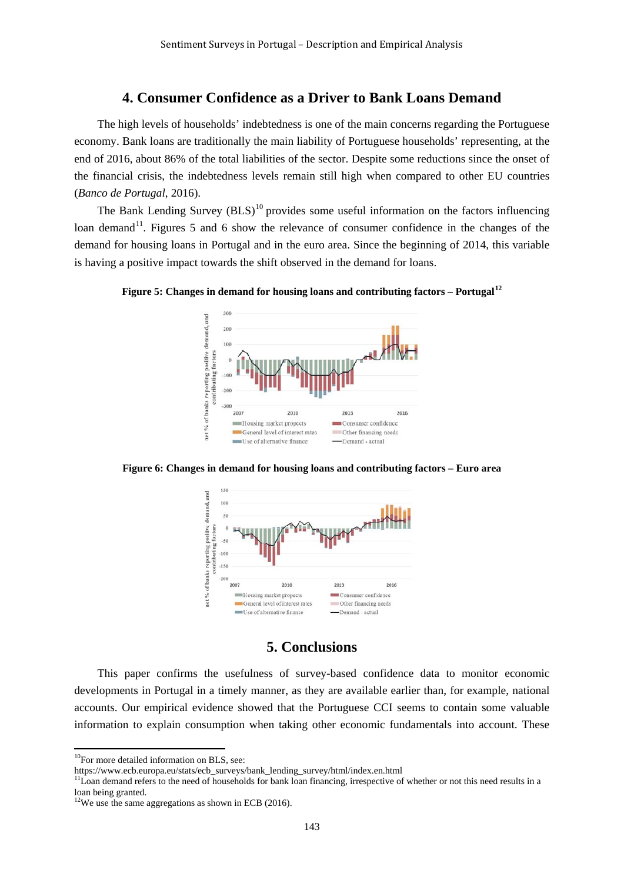# **4. Consumer Confidence as a Driver to Bank Loans Demand**

The high levels of households' indebtedness is one of the main concerns regarding the Portuguese economy. Bank loans are traditionally the main liability of Portuguese households' representing, at the end of 2016, about 86% of the total liabilities of the sector. Despite some reductions since the onset of the financial crisis, the indebtedness levels remain still high when compared to other EU countries (*Banco de Portugal*, 2016).

The Bank Lending Survey  $(BLS)^{10}$  $(BLS)^{10}$  $(BLS)^{10}$  provides some useful information on the factors influencing loan demand<sup>11</sup>. Figures 5 and 6 show the relevance of consumer confidence in the changes of the demand for housing loans in Portugal and in the euro area. Since the beginning of 2014, this variable is having a positive impact towards the shift observed in the demand for loans.

**Figure 5: Changes in demand for housing loans and contributing factors – Portugal[12](#page-6-2)**



**Figure 6: Changes in demand for housing loans and contributing factors – Euro area**



## **5. Conclusions**

This paper confirms the usefulness of survey-based confidence data to monitor economic developments in Portugal in a timely manner, as they are available earlier than, for example, national accounts. Our empirical evidence showed that the Portuguese CCI seems to contain some valuable information to explain consumption when taking other economic fundamentals into account. These

 $\frac{10}{10}$ For more detailed information on BLS, see:

<span id="page-6-1"></span><span id="page-6-0"></span>[https://www.ecb.europa.eu/stats/ecb\\_surveys/bank\\_lending\\_survey/html/index.en.html](https://www.ecb.europa.eu/stats/ecb_surveys/bank_lending_survey/html/index.en.html)

 $11$ Loan demand refers to the need of households for bank loan financing, irrespective of whether or not this need results in a loan being granted.

<span id="page-6-2"></span> $12$ We use the same aggregations as shown in ECB (2016).